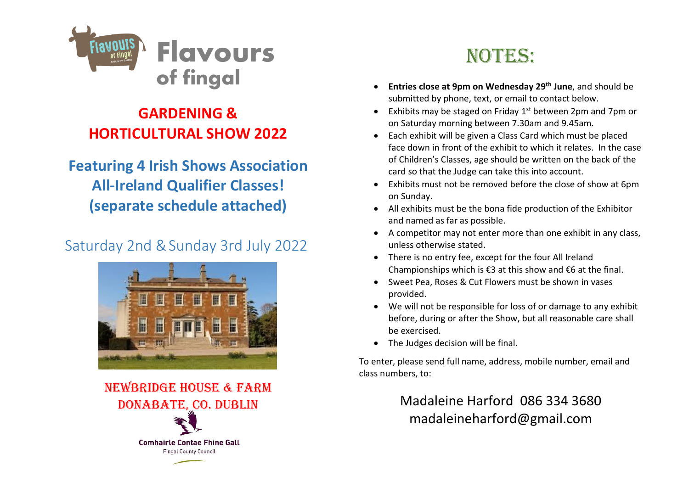

### **GARDENING & HORTICULTURAL SHOW 2022**

**Featuring 4 Irish Shows Association All-Ireland Qualifier Classes! (separate schedule attached)**

### Saturday 2nd &Sunday 3rd July 2022



NEWBRIDGE HOUSE & FARM DONABATE, CO. DUBLIN **Comhairle Contae Fhine Gall Fingal County Council** 

# NOTES:

- **Entries close at 9pm on Wednesday 29 th June**, and should be submitted by phone, text, or email to contact below.
- Exhibits may be staged on Friday 1<sup>st</sup> between 2pm and 7pm or on Saturday morning between 7.30am and 9.45am.
- Each exhibit will be given a Class Card which must be placed face down in front of the exhibit to which it relates. In the case of Children's Classes, age should be written on the back of the card so that the Judge can take this into account.
- Exhibits must not be removed before the close of show at 6pm on Sunday.
- All exhibits must be the bona fide production of the Exhibitor and named as far as possible.
- A competitor may not enter more than one exhibit in any class, unless otherwise stated.
- There is no entry fee, except for the four All Ireland Championships which is €3 at this show and €6 at the final.
- Sweet Pea, Roses & Cut Flowers must be shown in vases provided.
- We will not be responsible for loss of or damage to any exhibit before, during or after the Show, but all reasonable care shall be exercised.
- The Judges decision will be final.

To enter, please send full name, address, mobile number, email and class numbers, to:

> Madaleine Harford 086 334 3680 madaleineharford@gmail.com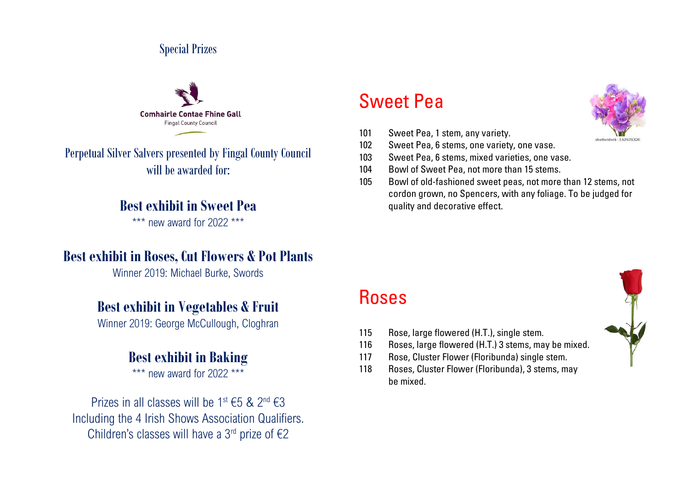#### Special Prizes



Perpetual Silver Salvers presented by Fingal County Council will be awarded for:

#### **Best exhibit in Sweet Pea**

\*\*\* new award for 2022 \*\*\*

#### **Best exhibit in Roses, Cut Flowers & Pot Plants**

Winner 2019: Michael Burke, Swords

#### **Best exhibit in Vegetables & Fruit**

Winner 2019: George McCullough, Cloghran

#### **Best exhibit in Baking**

\*\*\* new award for 2022 \*\*\*

Prizes in all classes will be  $1^{\text{st}}$   $\in$  5 &  $2^{\text{nd}}$   $\in$  3 Including the 4 Irish Shows Association Qualifiers. Children's classes will have a 3<sup>rd</sup> prize of  $\epsilon$ 2

## Sweet Pea

- 101 Sweet Pea, 1 stem, any variety.
- 102 Sweet Pea, 6 stems, one variety, one vase.
- 103 Sweet Pea, 6 stems, mixed varieties, one vase.
- 104 Bowl of Sweet Pea, not more than 15 stems.
- 105 Bowl of old-fashioned sweet peas, not more than 12 stems, not cordon grown, no Spencers, with any foliage. To be judged for quality and decorative effect.

### Roses

- 115 Rose, large flowered (H.T.), single stem.
- 116 Roses, large flowered (H.T.) 3 stems, may be mixed.
- 117 Rose, Cluster Flower (Floribunda) single stem.
- 118 Roses, Cluster Flower (Floribunda), 3 stems, may be mixed.



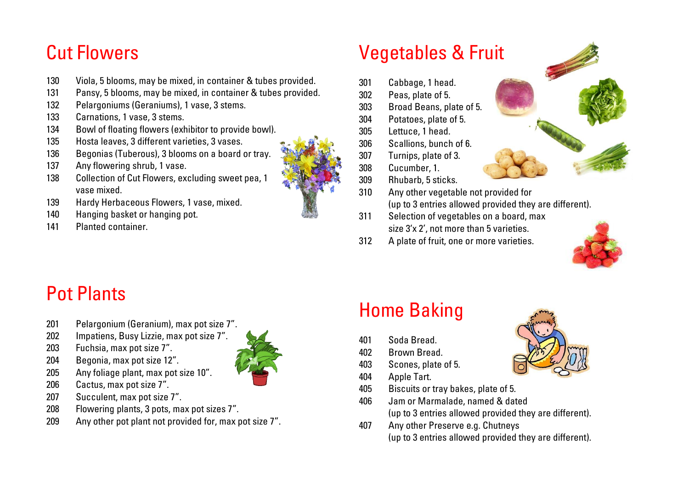## Cut Flowers

- Viola, 5 blooms, may be mixed, in container & tubes provided.
- Pansy, 5 blooms, may be mixed, in container & tubes provided.
- Pelargoniums (Geraniums), 1 vase, 3 stems.
- Carnations, 1 vase, 3 stems.
- Bowl of floating flowers (exhibitor to provide bowl).
- Hosta leaves, 3 different varieties, 3 vases.
- Begonias (Tuberous), 3 blooms on a board or tray.
- Any flowering shrub, 1 vase.
- Collection of Cut Flowers, excluding sweet pea, 1 vase mixed.
- Hardy Herbaceous Flowers, 1 vase, mixed.
- Hanging basket or hanging pot.
- Planted container.

# Vegetables & Fruit

- Cabbage, 1 head.
- Peas, plate of 5.
- Broad Beans, plate of 5.
- Potatoes, plate of 5.
- Lettuce, 1 head.
- Scallions, bunch of 6.
- Turnips, plate of 3.
- Cucumber, 1.
- Rhubarb, 5 sticks.
- Any other vegetable not provided for (up to 3 entries allowed provided they are different).
- Selection of vegetables on a board, max size 3'x 2', not more than 5 varieties.
- A plate of fruit, one or more varieties.



# Pot Plants

- Pelargonium (Geranium), max pot size 7".
- Impatiens, Busy Lizzie, max pot size 7".
- Fuchsia, max pot size 7".
- Begonia, max pot size 12".
- Any foliage plant, max pot size 10".
- Cactus, max pot size 7".
- Succulent, max pot size 7".
- Flowering plants, 3 pots, max pot sizes 7".
- Any other pot plant not provided for, max pot size 7".

# Home Baking

- Soda Bread.
- Brown Bread.
- Scones, plate of 5.
- Apple Tart.
- Biscuits or tray bakes, plate of 5.
- Jam or Marmalade, named & dated (up to 3 entries allowed provided they are different).
- Any other Preserve e.g. Chutneys (up to 3 entries allowed provided they are different).